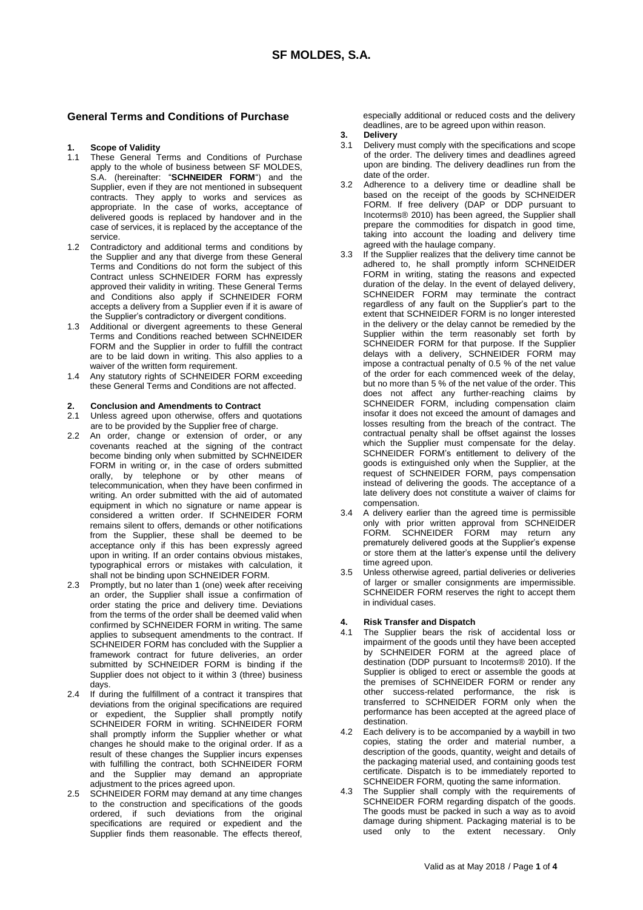### **General Terms and Conditions of Purchase**

### **1. Scope of Validity**

- 1.1 These General Terms and Conditions of Purchase apply to the whole of business between SF MOLDES, S.A. (hereinafter: "**SCHNEIDER FORM**") and the Supplier, even if they are not mentioned in subsequent contracts. They apply to works and services as appropriate. In the case of works, acceptance of delivered goods is replaced by handover and in the case of services, it is replaced by the acceptance of the service.
- 1.2 Contradictory and additional terms and conditions by the Supplier and any that diverge from these General Terms and Conditions do not form the subject of this Contract unless SCHNEIDER FORM has expressly approved their validity in writing. These General Terms and Conditions also apply if SCHNEIDER FORM accepts a delivery from a Supplier even if it is aware of the Supplier's contradictory or divergent conditions.
- 1.3 Additional or divergent agreements to these General Terms and Conditions reached between SCHNEIDER FORM and the Supplier in order to fulfill the contract are to be laid down in writing. This also applies to a waiver of the written form requirement.
- 1.4 Any statutory rights of SCHNEIDER FORM exceeding these General Terms and Conditions are not affected.

### **2. Conclusion and Amendments to Contract**

- 2.1 Unless agreed upon otherwise, offers and quotations are to be provided by the Supplier free of charge.
- 2.2 An order, change or extension of order, or any covenants reached at the signing of the contract become binding only when submitted by SCHNEIDER FORM in writing or, in the case of orders submitted orally, by telephone or by other means of telecommunication, when they have been confirmed in writing. An order submitted with the aid of automated equipment in which no signature or name appear is considered a written order. If SCHNEIDER FORM remains silent to offers, demands or other notifications from the Supplier, these shall be deemed to be acceptance only if this has been expressly agreed upon in writing. If an order contains obvious mistakes, typographical errors or mistakes with calculation, it shall not be binding upon SCHNEIDER FORM.
- 2.3 Promptly, but no later than 1 (one) week after receiving an order, the Supplier shall issue a confirmation of order stating the price and delivery time. Deviations from the terms of the order shall be deemed valid when confirmed by SCHNEIDER FORM in writing. The same applies to subsequent amendments to the contract. If SCHNEIDER FORM has concluded with the Supplier a framework contract for future deliveries, an order submitted by SCHNEIDER FORM is binding if the Supplier does not object to it within 3 (three) business days.
- 2.4 If during the fulfillment of a contract it transpires that deviations from the original specifications are required or expedient, the Supplier shall promptly notify SCHNEIDER FORM in writing. SCHNEIDER FORM shall promptly inform the Supplier whether or what changes he should make to the original order. If as a result of these changes the Supplier incurs expenses with fulfilling the contract, both SCHNEIDER FORM and the Supplier may demand an appropriate adjustment to the prices agreed upon.
- 2.5 SCHNEIDER FORM may demand at any time changes to the construction and specifications of the goods ordered, if such deviations from the original specifications are required or expedient and the Supplier finds them reasonable. The effects thereof,

especially additional or reduced costs and the delivery deadlines, are to be agreed upon within reason.

- 
- **3. Delivery** Delivery must comply with the specifications and scope of the order. The delivery times and deadlines agreed upon are binding. The delivery deadlines run from the date of the order.
- 3.2 Adherence to a delivery time or deadline shall be based on the receipt of the goods by SCHNEIDER FORM. If free delivery (DAP or DDP pursuant to Incoterms® 2010) has been agreed, the Supplier shall prepare the commodities for dispatch in good time, taking into account the loading and delivery time agreed with the haulage company.
- 3.3 If the Supplier realizes that the delivery time cannot be adhered to, he shall promptly inform SCHNEIDER FORM in writing, stating the reasons and expected duration of the delay. In the event of delayed delivery, SCHNEIDER FORM may terminate the contract regardless of any fault on the Supplier's part to the extent that SCHNEIDER FORM is no longer interested in the delivery or the delay cannot be remedied by the Supplier within the term reasonably set forth by SCHNEIDER FORM for that purpose. If the Supplier delays with a delivery, SCHNEIDER FORM may impose a contractual penalty of 0.5 % of the net value of the order for each commenced week of the delay, but no more than 5 % of the net value of the order. This does not affect any further-reaching claims by SCHNEIDER FORM, including compensation claim insofar it does not exceed the amount of damages and losses resulting from the breach of the contract. The contractual penalty shall be offset against the losses which the Supplier must compensate for the delay. SCHNEIDER FORM's entitlement to delivery of the goods is extinguished only when the Supplier, at the request of SCHNEIDER FORM, pays compensation instead of delivering the goods. The acceptance of a late delivery does not constitute a waiver of claims for compensation.
- 3.4 A delivery earlier than the agreed time is permissible only with prior written approval from SCHNEIDER FORM. SCHNEIDER FORM may return any prematurely delivered goods at the Supplier's expense or store them at the latter's expense until the delivery time agreed upon.
- 3.5 Unless otherwise agreed, partial deliveries or deliveries of larger or smaller consignments are impermissible. SCHNEIDER FORM reserves the right to accept them in individual cases.

### **4. Risk Transfer and Dispatch**

- 4.1 The Supplier bears the risk of accidental loss or impairment of the goods until they have been accepted by SCHNEIDER FORM at the agreed place of destination (DDP pursuant to Incoterms® 2010). If the Supplier is obliged to erect or assemble the goods at the premises of SCHNEIDER FORM or render any other success-related performance, the risk is transferred to SCHNEIDER FORM only when the performance has been accepted at the agreed place of destination.
- 4.2 Each delivery is to be accompanied by a waybill in two copies, stating the order and material number, a description of the goods, quantity, weight and details of the packaging material used, and containing goods test certificate. Dispatch is to be immediately reported to SCHNEIDER FORM, quoting the same information.
- 4.3 The Supplier shall comply with the requirements of SCHNEIDER FORM regarding dispatch of the goods. The goods must be packed in such a way as to avoid damage during shipment. Packaging material is to be used only to the extent necessary. Only the extent necessary. Only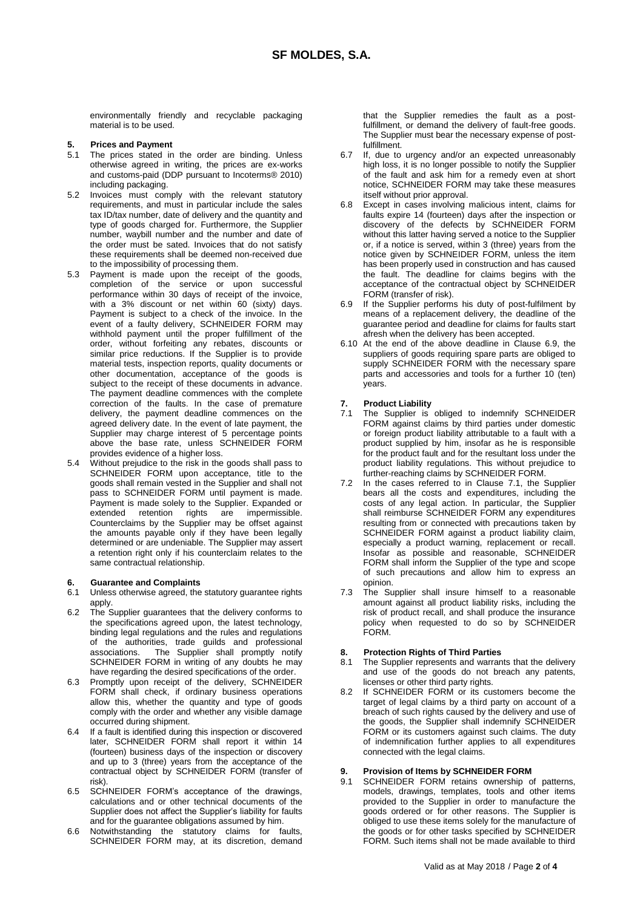environmentally friendly and recyclable packaging material is to be used.

### **5. Prices and Payment**

- 5.1 The prices stated in the order are binding. Unless otherwise agreed in writing, the prices are ex-works and customs-paid (DDP pursuant to Incoterms® 2010) including packaging.
- 5.2 Invoices must comply with the relevant statutory requirements, and must in particular include the sales tax ID/tax number, date of delivery and the quantity and type of goods charged for. Furthermore, the Supplier number, waybill number and the number and date of the order must be sated. Invoices that do not satisfy these requirements shall be deemed non-received due to the impossibility of processing them.
- 5.3 Payment is made upon the receipt of the goods, completion of the service or upon successful performance within 30 days of receipt of the invoice, with a 3% discount or net within 60 (sixty) days. Payment is subject to a check of the invoice. In the event of a faulty delivery, SCHNEIDER FORM may withhold payment until the proper fulfillment of the order, without forfeiting any rebates, discounts or similar price reductions. If the Supplier is to provide material tests, inspection reports, quality documents or other documentation, acceptance of the goods is subject to the receipt of these documents in advance. The payment deadline commences with the complete correction of the faults. In the case of premature delivery, the payment deadline commences on the agreed delivery date. In the event of late payment, the Supplier may charge interest of 5 percentage points above the base rate, unless SCHNEIDER FORM provides evidence of a higher loss.
- 5.4 Without prejudice to the risk in the goods shall pass to SCHNEIDER FORM upon acceptance, title to the goods shall remain vested in the Supplier and shall not pass to SCHNEIDER FORM until payment is made. Payment is made solely to the Supplier. Expanded or extended retention rights are impermissible. Counterclaims by the Supplier may be offset against the amounts payable only if they have been legally determined or are undeniable. The Supplier may assert a retention right only if his counterclaim relates to the same contractual relationship.

### **6. Guarantee and Complaints**

- 6.1 Unless otherwise agreed, the statutory guarantee rights apply.
- 6.2 The Supplier guarantees that the delivery conforms to the specifications agreed upon, the latest technology, binding legal regulations and the rules and regulations of the authorities, trade guilds and professional associations. The Supplier shall promptly notify SCHNEIDER FORM in writing of any doubts he may have regarding the desired specifications of the order.
- 6.3 Promptly upon receipt of the delivery, SCHNEIDER FORM shall check, if ordinary business operations allow this, whether the quantity and type of goods comply with the order and whether any visible damage occurred during shipment.
- 6.4 If a fault is identified during this inspection or discovered later, SCHNEIDER FORM shall report it within 14 (fourteen) business days of the inspection or discovery and up to 3 (three) years from the acceptance of the contractual object by SCHNEIDER FORM (transfer of risk).
- 6.5 SCHNEIDER FORM's acceptance of the drawings, calculations and or other technical documents of the Supplier does not affect the Supplier's liability for faults and for the guarantee obligations assumed by him.
- 6.6 Notwithstanding the statutory claims for faults, SCHNEIDER FORM may, at its discretion, demand

that the Supplier remedies the fault as a postfulfillment, or demand the delivery of fault-free goods. The Supplier must bear the necessary expense of postfulfillment.

- 6.7 If, due to urgency and/or an expected unreasonably high loss, it is no longer possible to notify the Supplier of the fault and ask him for a remedy even at short notice, SCHNEIDER FORM may take these measures itself without prior approval.
- 6.8 Except in cases involving malicious intent, claims for faults expire 14 (fourteen) days after the inspection or discovery of the defects by SCHNEIDER FORM without this latter having served a notice to the Supplier or, if a notice is served, within 3 (three) years from the notice given by SCHNEIDER FORM, unless the item has been properly used in construction and has caused the fault. The deadline for claims begins with the acceptance of the contractual object by SCHNEIDER FORM (transfer of risk).
- 6.9 If the Supplier performs his duty of post-fulfilment by means of a replacement delivery, the deadline of the guarantee period and deadline for claims for faults start afresh when the delivery has been accepted.
- 6.10 At the end of the above deadline in Clause 6.9, the suppliers of goods requiring spare parts are obliged to supply SCHNEIDER FORM with the necessary spare parts and accessories and tools for a further 10 (ten) years.

## **7. Product Liability**

- The Supplier is obliged to indemnify SCHNEIDER FORM against claims by third parties under domestic or foreign product liability attributable to a fault with a product supplied by him, insofar as he is responsible for the product fault and for the resultant loss under the product liability regulations. This without prejudice to further-reaching claims by SCHNEIDER FORM.
- 7.2 In the cases referred to in Clause 7.1, the Supplier bears all the costs and expenditures, including the costs of any legal action. In particular, the Supplier shall reimburse SCHNEIDER FORM any expenditures resulting from or connected with precautions taken by SCHNEIDER FORM against a product liability claim, especially a product warning, replacement or recall. Insofar as possible and reasonable, SCHNEIDER FORM shall inform the Supplier of the type and scope of such precautions and allow him to express an opinion.
- 7.3 The Supplier shall insure himself to a reasonable amount against all product liability risks, including the risk of product recall, and shall produce the insurance policy when requested to do so by SCHNEIDER FORM.

## **8. Protection Rights of Third Parties**

- The Supplier represents and warrants that the delivery and use of the goods do not breach any patents, licenses or other third party rights.
- 8.2 If SCHNEIDER FORM or its customers become the target of legal claims by a third party on account of a breach of such rights caused by the delivery and use of the goods, the Supplier shall indemnify SCHNEIDER FORM or its customers against such claims. The duty of indemnification further applies to all expenditures connected with the legal claims.

# **9. Provision of Items by SCHNEIDER FORM**<br>9.1 SCHNEIDER FORM retains ownership of

SCHNEIDER FORM retains ownership of patterns, models, drawings, templates, tools and other items provided to the Supplier in order to manufacture the goods ordered or for other reasons. The Supplier is obliged to use these items solely for the manufacture of the goods or for other tasks specified by SCHNEIDER FORM. Such items shall not be made available to third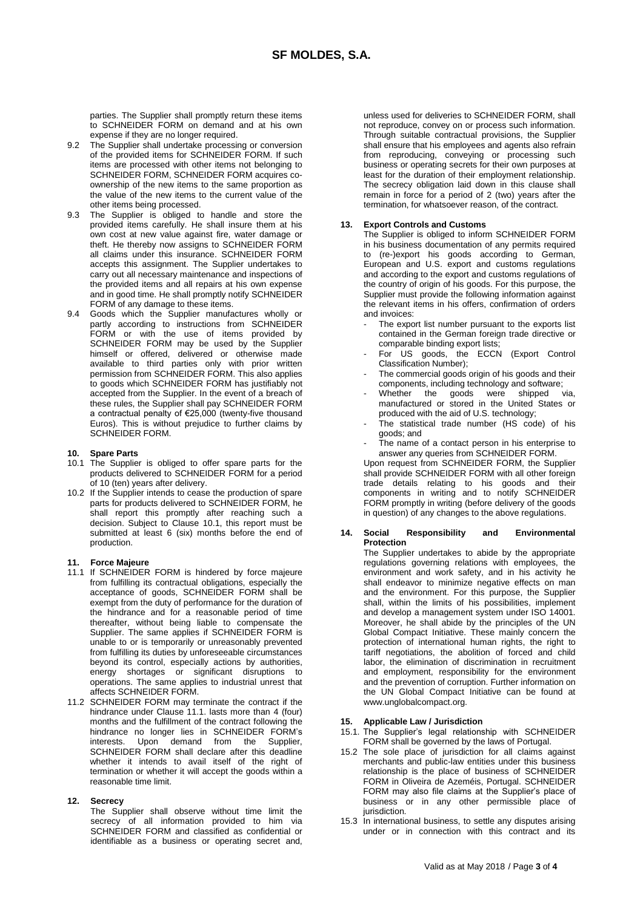parties. The Supplier shall promptly return these items to SCHNEIDER FORM on demand and at his own expense if they are no longer required.

- 9.2 The Supplier shall undertake processing or conversion of the provided items for SCHNEIDER FORM. If such items are processed with other items not belonging to SCHNEIDER FORM, SCHNEIDER FORM acquires coownership of the new items to the same proportion as the value of the new items to the current value of the other items being processed.
- 9.3 The Supplier is obliged to handle and store the provided items carefully. He shall insure them at his own cost at new value against fire, water damage or theft. He thereby now assigns to SCHNEIDER FORM all claims under this insurance. SCHNEIDER FORM accepts this assignment. The Supplier undertakes to carry out all necessary maintenance and inspections of the provided items and all repairs at his own expense and in good time. He shall promptly notify SCHNEIDER FORM of any damage to these items.
- 9.4 Goods which the Supplier manufactures wholly or partly according to instructions from SCHNEIDER FORM or with the use of items provided by SCHNEIDER FORM may be used by the Supplier himself or offered, delivered or otherwise made available to third parties only with prior written permission from SCHNEIDER FORM. This also applies to goods which SCHNEIDER FORM has justifiably not accepted from the Supplier. In the event of a breach of these rules, the Supplier shall pay SCHNEIDER FORM a contractual penalty of €25,000 (twenty-five thousand Euros). This is without prejudice to further claims by SCHNEIDER FORM.

### **10. Spare Parts**

- 10.1 The Supplier is obliged to offer spare parts for the products delivered to SCHNEIDER FORM for a period of 10 (ten) years after delivery.
- 10.2 If the Supplier intends to cease the production of spare parts for products delivered to SCHNEIDER FORM, he shall report this promptly after reaching such a decision. Subject to Clause 10.1, this report must be submitted at least 6 (six) months before the end of production.

### **11. Force Majeure**

- 11.1 If SCHNEIDER FORM is hindered by force majeure from fulfilling its contractual obligations, especially the acceptance of goods, SCHNEIDER FORM shall be exempt from the duty of performance for the duration of the hindrance and for a reasonable period of time thereafter, without being liable to compensate the Supplier. The same applies if SCHNEIDER FORM is unable to or is temporarily or unreasonably prevented from fulfilling its duties by unforeseeable circumstances beyond its control, especially actions by authorities, energy shortages or significant disruptions to operations. The same applies to industrial unrest that affects SCHNEIDER FORM.
- 11.2 SCHNEIDER FORM may terminate the contract if the hindrance under Clause 11.1. lasts more than 4 (four) months and the fulfillment of the contract following the hindrance no longer lies in SCHNEIDER FORM's interests. Upon demand from the Supplier, SCHNEIDER FORM shall declare after this deadline whether it intends to avail itself of the right of termination or whether it will accept the goods within a reasonable time limit.

#### **12. Secrecy**

The Supplier shall observe without time limit the secrecy of all information provided to him via SCHNEIDER FORM and classified as confidential or identifiable as a business or operating secret and,

unless used for deliveries to SCHNEIDER FORM, shall not reproduce, convey on or process such information. Through suitable contractual provisions, the Supplier shall ensure that his employees and agents also refrain from reproducing, conveying or processing such business or operating secrets for their own purposes at least for the duration of their employment relationship. The secrecy obligation laid down in this clause shall remain in force for a period of 2 (two) years after the termination, for whatsoever reason, of the contract.

### **13. Export Controls and Customs**

The Supplier is obliged to inform SCHNEIDER FORM in his business documentation of any permits required to (re-)export his goods according to German, European and U.S. export and customs regulations and according to the export and customs regulations of the country of origin of his goods. For this purpose, the Supplier must provide the following information against the relevant items in his offers, confirmation of orders and invoices:

- The export list number pursuant to the exports list contained in the German foreign trade directive or comparable binding export lists;
- For US goods, the ECCN (Export Control Classification Number);
- The commercial goods origin of his goods and their components, including technology and software;
- Whether the goods were shipped via, manufactured or stored in the United States or produced with the aid of U.S. technology;
- The statistical trade number (HS code) of his goods; and
- The name of a contact person in his enterprise to answer any queries from SCHNEIDER FORM.

Upon request from SCHNEIDER FORM, the Supplier shall provide SCHNEIDER FORM with all other foreign trade details relating to his goods and their components in writing and to notify SCHNEIDER FORM promptly in writing (before delivery of the goods in question) of any changes to the above regulations.

### **14. Social Responsibility and Environmental Protection**

The Supplier undertakes to abide by the appropriate regulations governing relations with employees, the environment and work safety, and in his activity he shall endeavor to minimize negative effects on man and the environment. For this purpose, the Supplier shall, within the limits of his possibilities, implement and develop a management system under ISO 14001. Moreover, he shall abide by the principles of the UN Global Compact Initiative. These mainly concern the protection of international human rights, the right to tariff negotiations, the abolition of forced and child labor, the elimination of discrimination in recruitment and employment, responsibility for the environment and the prevention of corruption. Further information on the UN Global Compact Initiative can be found at www.unglobalcompact.org.

### **15. Applicable Law / Jurisdiction**

- 15.1. The Supplier's legal relationship with SCHNEIDER FORM shall be governed by the laws of Portugal.
- 15.2 The sole place of jurisdiction for all claims against merchants and public-law entities under this business relationship is the place of business of SCHNEIDER FORM in Oliveira de Azeméis, Portugal. SCHNEIDER FORM may also file claims at the Supplier's place of business or in any other permissible place of jurisdiction.
- 15.3 In international business, to settle any disputes arising under or in connection with this contract and its